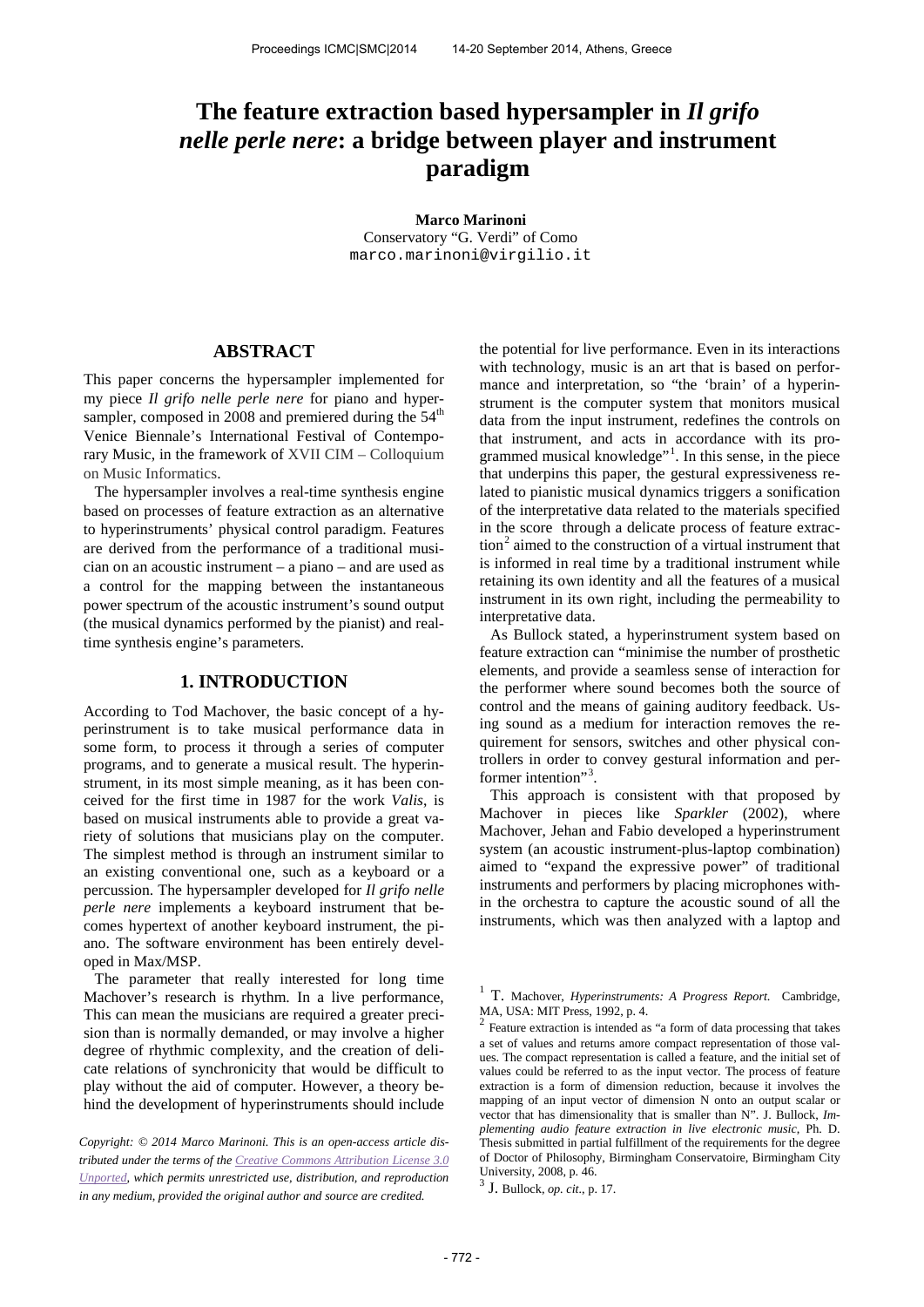# **The feature extraction based hypersampler in** *Il grifo nelle perle nere***: a bridge between player and instrument paradigm**

**Marco Marinoni** Conservatory "G. Verdi" of Como [marco.marinoni@virgilio.it](mailto:marco.marinoni@virgilio.it)

# **ABSTRACT**

This paper concerns the hypersampler implemented for my piece *Il grifo nelle perle nere* for piano and hypersampler, composed in 2008 and premiered during the  $54<sup>th</sup>$ Venice Biennale's International Festival of Contemporary Music, in the framework of XVII CIM – Colloquium on Music Informatics.

The hypersampler involves a real-time synthesis engine based on processes of feature extraction as an alternative to hyperinstruments' physical control paradigm. Features are derived from the performance of a traditional musician on an acoustic instrument – a piano – and are used as a control for the mapping between the instantaneous power spectrum of the acoustic instrument's sound output (the musical dynamics performed by the pianist) and realtime synthesis engine's parameters.

## **1. INTRODUCTION**

According to Tod Machover, the basic concept of a hyperinstrument is to take musical performance data in some form, to process it through a series of computer programs, and to generate a musical result. The hyperinstrument, in its most simple meaning, as it has been conceived for the first time in 1987 for the work *Valis*, is based on musical instruments able to provide a great variety of solutions that musicians play on the computer. The simplest method is through an instrument similar to an existing conventional one, such as a keyboard or a percussion. The hypersampler developed for *Il grifo nelle perle nere* implements a keyboard instrument that becomes hypertext of another keyboard instrument, the piano. The software environment has been entirely developed in Max/MSP.

<span id="page-0-1"></span><span id="page-0-0"></span>The parameter that really interested for long time Machover's research is rhythm. In a live performance, This can mean the musicians are required a greater precision than is normally demanded, or may involve a higher degree of rhythmic complexity, and the creation of delicate relations of synchronicity that would be difficult to play without the aid of computer. However, a theory behind the development of hyperinstruments should include

<span id="page-0-2"></span>*Copyright: © 2014 Marco Marinoni. This is an open-access article distributed under the terms of th[e Creative Commons Attribution License 3.0](http://creativecommons.org/licenses/by/3.0/)  [Unported,](http://creativecommons.org/licenses/by/3.0/) which permits unrestricted use, distribution, and reproduction in any medium, provided the original author and source are credited.*

the potential for live performance. Even in its interactions with technology, music is an art that is based on performance and interpretation, so "the 'brain' of a hyperinstrument is the computer system that monitors musical data from the input instrument, redefines the controls on that instrument, and acts in accordance with its pro-grammed musical knowledge"<sup>[1](#page-0-0)</sup>. In this sense, in the piece that underpins this paper, the gestural expressiveness related to pianistic musical dynamics triggers a sonification of the interpretative data related to the materials specified in the score through a delicate process of feature extrac-tion<sup>[2](#page-0-1)</sup> aimed to the construction of a virtual instrument that is informed in real time by a traditional instrument while retaining its own identity and all the features of a musical instrument in its own right, including the permeability to interpretative data.

As Bullock stated, a hyperinstrument system based on feature extraction can "minimise the number of prosthetic elements, and provide a seamless sense of interaction for the performer where sound becomes both the source of control and the means of gaining auditory feedback. Using sound as a medium for interaction removes the requirement for sensors, switches and other physical controllers in order to convey gestural information and per-former intention"<sup>[3](#page-0-2)</sup> .

This approach is consistent with that proposed by Machover in pieces like *Sparkler* (2002), where Machover, Jehan and Fabio developed a hyperinstrument system (an acoustic instrument-plus-laptop combination) aimed to "expand the expressive power" of traditional instruments and performers by placing microphones within the orchestra to capture the acoustic sound of all the instruments, which was then analyzed with a laptop and

<sup>1</sup> T. Machover, *Hyperinstruments: A Progress Report*. Cambridge, MA, USA: MIT Press, 1992, p. 4.

<sup>2</sup> Feature extraction is intended as "a form of data processing that takes a set of values and returns amore compact representation of those values. The compact representation is called a feature, and the initial set of values could be referred to as the input vector. The process of feature extraction is a form of dimension reduction, because it involves the mapping of an input vector of dimension N onto an output scalar or vector that has dimensionality that is smaller than N". J. Bullock, *Implementing audio feature extraction in live electronic music*, Ph. D. Thesis submitted in partial fulfillment of the requirements for the degree of Doctor of Philosophy, Birmingham Conservatoire, Birmingham City University, 2008, p. 46.

<sup>3</sup> J. Bullock, *op. cit.*, p. 17.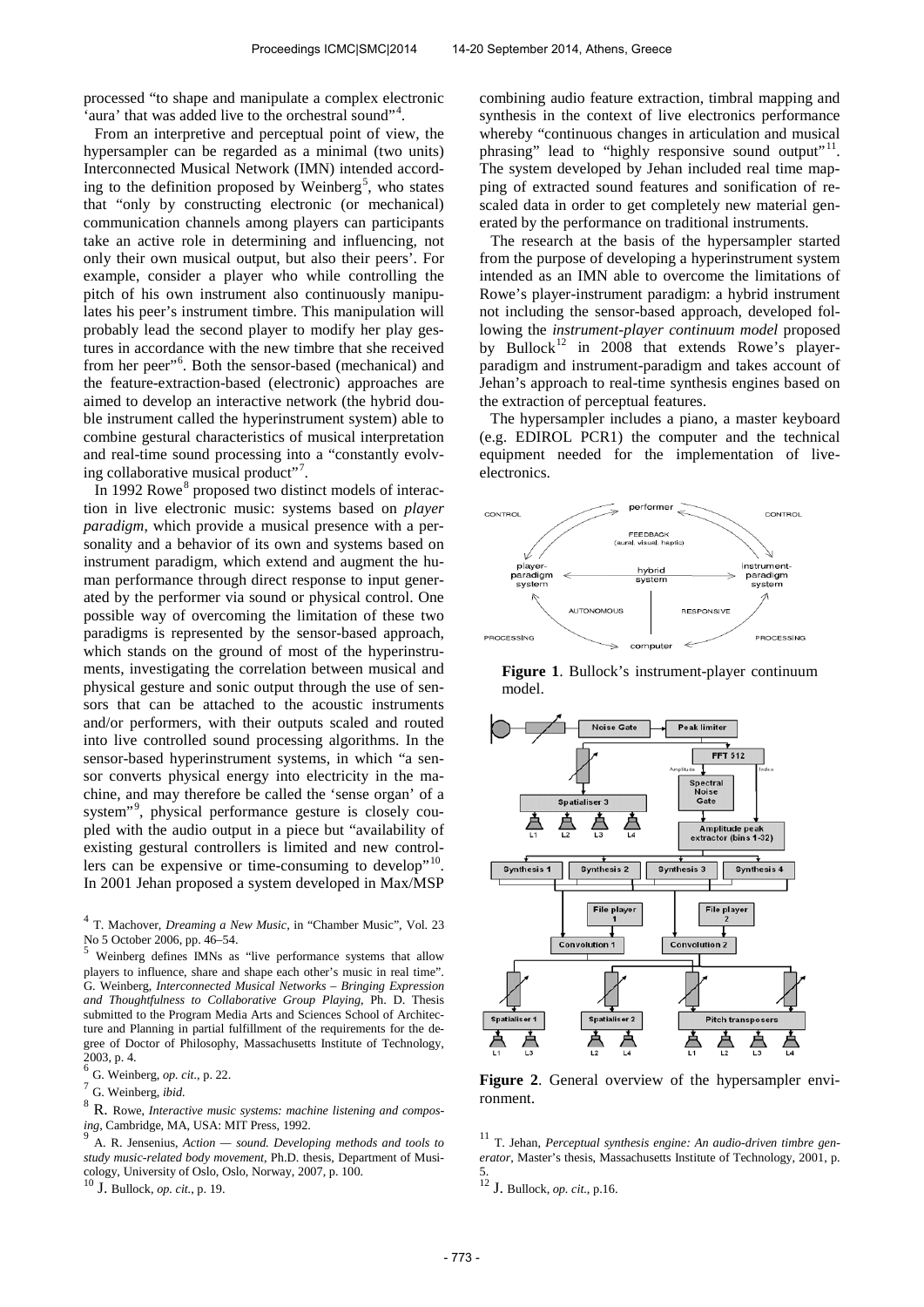processed "to shape and manipulate a complex electronic 'aura' that was added live to the orchestral sound"<sup>[4](#page-1-0)</sup>.

From an interpretive and perceptual point of view, the hypersampler can be regarded as a minimal (two units) Interconnected Musical Network (IMN) intended accord-ing to the definition proposed by Weinberg<sup>[5](#page-1-1)</sup>, who states that "only by constructing electronic (or mechanical) communication channels among players can participants take an active role in determining and influencing, not only their own musical output, but also their peers'. For example, consider a player who while controlling the pitch of his own instrument also continuously manipulates his peer's instrument timbre. This manipulation will probably lead the second player to modify her play gestures in accordance with the new timbre that she received from her peer"<sup>[6](#page-1-2)</sup>. Both the sensor-based (mechanical) and the feature-extraction-based (electronic) approaches are aimed to develop an interactive network (the hybrid double instrument called the hyperinstrument system) able to combine gestural characteristics of musical interpretation and real-time sound processing into a "constantly evolv-ing collaborative musical product"<sup>[7](#page-1-3)</sup>.

In 1992 Rowe<sup>[8](#page-1-4)</sup> proposed two distinct models of interaction in live electronic music: systems based on *player paradigm*, which provide a musical presence with a personality and a behavior of its own and systems based on instrument paradigm, which extend and augment the human performance through direct response to input generated by the performer via sound or physical control. One possible way of overcoming the limitation of these two paradigms is represented by the sensor-based approach, which stands on the ground of most of the hyperinstruments, investigating the correlation between musical and physical gesture and sonic output through the use of sensors that can be attached to the acoustic instruments and/or performers, with their outputs scaled and routed into live controlled sound processing algorithms. In the sensor-based hyperinstrument systems, in which "a sensor converts physical energy into electricity in the machine, and may therefore be called the 'sense organ' of a system" [9](#page-1-5) , physical performance gesture is closely coupled with the audio output in a piece but "availability of existing gestural controllers is limited and new control-lers can be expensive or time-consuming to develop"<sup>[10](#page-1-6)</sup>. In 2001 Jehan proposed a system developed in Max/MSP

<span id="page-1-0"></span>4 T. Machover, *Dreaming a New Music*, in "Chamber Music", Vol. 23 No 5 October 2006, pp. 46–54.

<span id="page-1-1"></span><sup>5</sup> Weinberg defines IMNs as "live performance systems that allow players to influence, share and shape each other's music in real time". G. Weinberg, *Interconnected Musical Networks – Bringing Expression and Thoughtfulness to Collaborative Group Playing*, Ph. D. Thesis submitted to the Program Media Arts and Sciences School of Architecture and Planning in partial fulfillment of the requirements for the degree of Doctor of Philosophy, Massachusetts Institute of Technology, 2003, p. 4.

<span id="page-1-4"></span><sup>8</sup> R. Rowe, *Interactive music systems: machine listening and composing*, Cambridge, MA, USA: MIT Press, 1992. 9

<span id="page-1-5"></span>A. R. Jensenius, *Action — sound. Developing methods and tools to study music-related body movement*, Ph.D. thesis, Department of Musicology, University of Oslo, Oslo, Norway, 2007, p. 100.

<span id="page-1-6"></span><sup>10</sup> J. Bullock, *op. cit.*, p. 19.

combining audio feature extraction, timbral mapping and synthesis in the context of live electronics performance whereby "continuous changes in articulation and musical phrasing" lead to "highly responsive sound output"<sup>[11](#page-1-5)</sup>. The system developed by Jehan included real time mapping of extracted sound features and sonification of rescaled data in order to get completely new material generated by the performance on traditional instruments.

The research at the basis of the hypersampler started from the purpose of developing a hyperinstrument system intended as an IMN able to overcome the limitations of Rowe's player-instrument paradigm: a hybrid instrument not including the sensor-based approach, developed following the *instrument-player continuum model* proposed by Bullock<sup>[12](#page-1-6)</sup> in 2008 that extends Rowe's playerparadigm and instrument-paradigm and takes account of Jehan's approach to real-time synthesis engines based on the extraction of perceptual features.

The hypersampler includes a piano, a master keyboard (e.g. EDIROL PCR1) the computer and the technical equipment needed for the implementation of liveelectronics.



**Figure 1**. Bullock's instrument-player continuum model.



**Figure 2**. General overview of the hypersampler environment.

<sup>11</sup> T. Jehan, *Perceptual synthesis engine: An audio-driven timbre generator*, Master's thesis, Massachusetts Institute of Technology, 2001, p. 5. <sup>12</sup> J. Bullock, *op. cit.*, p.16.

<span id="page-1-2"></span><sup>6</sup> G. Weinberg, *op. cit.*, p. 22.

<span id="page-1-3"></span><sup>7</sup> G. Weinberg, *ibid.*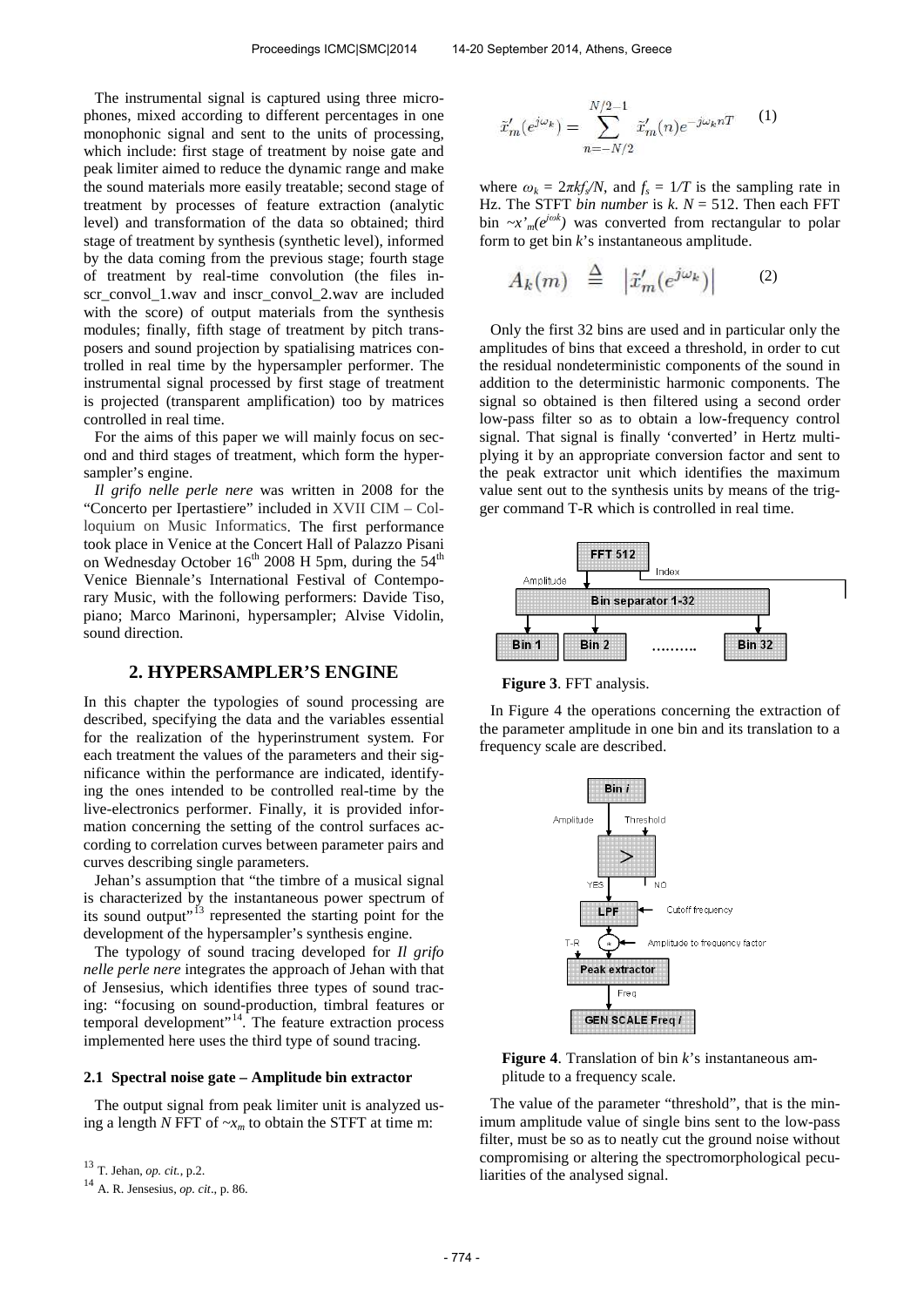The instrumental signal is captured using three microphones, mixed according to different percentages in one monophonic signal and sent to the units of processing, which include: first stage of treatment by noise gate and peak limiter aimed to reduce the dynamic range and make the sound materials more easily treatable; second stage of treatment by processes of feature extraction (analytic level) and transformation of the data so obtained; third stage of treatment by synthesis (synthetic level), informed by the data coming from the previous stage; fourth stage of treatment by real-time convolution (the files inscr\_convol\_1.wav and inscr\_convol\_2.wav are included with the score) of output materials from the synthesis modules; finally, fifth stage of treatment by pitch transposers and sound projection by spatialising matrices controlled in real time by the hypersampler performer. The instrumental signal processed by first stage of treatment is projected (transparent amplification) too by matrices controlled in real time.

For the aims of this paper we will mainly focus on second and third stages of treatment, which form the hypersampler's engine.

*Il grifo nelle perle nere* was written in 2008 for the "Concerto per Ipertastiere" included in XVII CIM – Colloquium on Music Informatics. The first performance took place in Venice at the Concert Hall of Palazzo Pisani on Wednesday October  $16<sup>th</sup>$  2008 H 5pm, during the  $54<sup>th</sup>$ Venice Biennale's International Festival of Contemporary Music, with the following performers: Davide Tiso, piano; Marco Marinoni, hypersampler; Alvise Vidolin, sound direction.

## **2. HYPERSAMPLER'S ENGINE**

In this chapter the typologies of sound processing are described, specifying the data and the variables essential for the realization of the hyperinstrument system. For each treatment the values of the parameters and their significance within the performance are indicated, identifying the ones intended to be controlled real-time by the live-electronics performer. Finally, it is provided information concerning the setting of the control surfaces according to correlation curves between parameter pairs and curves describing single parameters.

Jehan's assumption that "the timbre of a musical signal is characterized by the instantaneous power spectrum of its sound output"<sup>[13](#page-2-0)</sup> represented the starting point for the development of the hypersampler's synthesis engine.

The typology of sound tracing developed for *Il grifo nelle perle nere* integrates the approach of Jehan with that of Jensesius, which identifies three types of sound tracing: "focusing on sound-production, timbral features or temporal development"<sup>[14](#page-2-1)</sup>. The feature extraction process implemented here uses the third type of sound tracing.

## **2.1 Spectral noise gate – Amplitude bin extractor**

The output signal from peak limiter unit is analyzed using a length *N* FFT of  $-x_m$  to obtain the STFT at time m:

$$
\tilde{x}'_m(e^{j\omega_k}) = \sum_{n=-N/2}^{N/2-1} \tilde{x}'_m(n) e^{-j\omega_k nT}
$$
 (1)

where  $\omega_k = 2\pi k f_s/N$ , and  $f_s = 1/T$  is the sampling rate in Hz. The STFT *bin number* is  $k$ .  $N = 512$ . Then each FFT bin  $-x'_m(e^{j\omega k})$  was converted from rectangular to polar form to get bin *k*'s instantaneous amplitude.

$$
A_k(m) \triangleq |\tilde{x}'_m(e^{j\omega_k})| \qquad (2)
$$

Only the first 32 bins are used and in particular only the amplitudes of bins that exceed a threshold, in order to cut the residual nondeterministic components of the sound in addition to the deterministic harmonic components. The signal so obtained is then filtered using a second order low-pass filter so as to obtain a low-frequency control signal. That signal is finally 'converted' in Hertz multiplying it by an appropriate conversion factor and sent to the peak extractor unit which identifies the maximum value sent out to the synthesis units by means of the trigger command T-R which is controlled in real time.



**Figure 3**. FFT analysis.

In Figure 4 the operations concerning the extraction of the parameter amplitude in one bin and its translation to a frequency scale are described.



**Figure 4**. Translation of bin *k*'s instantaneous amplitude to a frequency scale.

The value of the parameter "threshold", that is the minimum amplitude value of single bins sent to the low-pass filter, must be so as to neatly cut the ground noise without compromising or altering the spectromorphological peculiarities of the analysed signal.

<span id="page-2-0"></span><sup>13</sup> T. Jehan, *op. cit.*, p.2.

<span id="page-2-1"></span><sup>14</sup> A. R. Jensesius, *op. cit*., p. 86.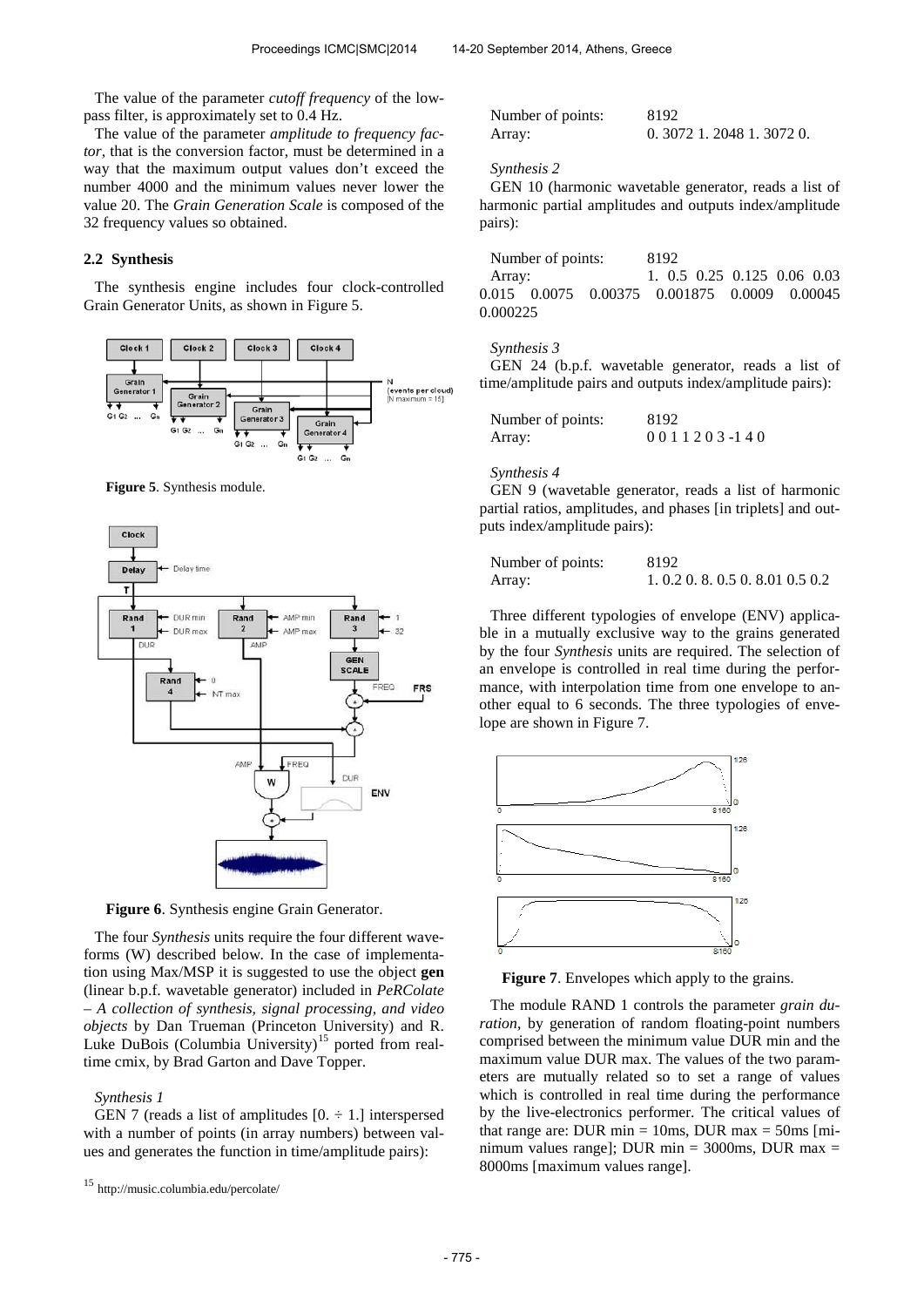The value of the parameter *cutoff frequency* of the lowpass filter, is approximately set to 0.4 Hz.

The value of the parameter *amplitude to frequency factor*, that is the conversion factor, must be determined in a way that the maximum output values don't exceed the number 4000 and the minimum values never lower the value 20. The *Grain Generation Scale* is composed of the 32 frequency values so obtained.

## **2.2 Synthesis**

The synthesis engine includes four clock-controlled Grain Generator Units, as shown in Figure 5.



**Figure 5**. Synthesis module.



**Figure 6**. Synthesis engine Grain Generator.

The four *Synthesis* units require the four different waveforms (W) described below. In the case of implementation using Max/MSP it is suggested to use the object **gen** (linear b.p.f. wavetable generator) included in *PeRColate – A collection of synthesis, signal processing, and video objects* by Dan Trueman (Princeton University) and R. Luke DuBois (Columbia University)<sup>[15](#page-3-0)</sup> ported from realtime cmix, by Brad Garton and Dave Topper.

#### *Synthesis 1*

GEN 7 (reads a list of amplitudes  $[0, \div 1]$  interspersed with a number of points (in array numbers) between values and generates the function in time/amplitude pairs):

| Number of points: | 8192                      |
|-------------------|---------------------------|
| Array:            | $0.3072$ 1.2048 1.3072 0. |

#### *Synthesis 2*

GEN 10 (harmonic wavetable generator, reads a list of harmonic partial amplitudes and outputs index/amplitude pairs):

|          | Number of points: |                                              | 8192 |  |                              |  |
|----------|-------------------|----------------------------------------------|------|--|------------------------------|--|
| Array:   |                   |                                              |      |  | $1.0.5$ 0.25 0.125 0.06 0.03 |  |
|          |                   | 0.015 0.0075 0.00375 0.001875 0.0009 0.00045 |      |  |                              |  |
| 0.000225 |                   |                                              |      |  |                              |  |

#### *Synthesis 3*

GEN 24 (b.p.f. wavetable generator, reads a list of time/amplitude pairs and outputs index/amplitude pairs):

| Number of points: | 8192                 |
|-------------------|----------------------|
| Array:            | 0 0 1 1 2 0 3 -1 4 0 |

#### *Synthesis 4*

GEN 9 (wavetable generator, reads a list of harmonic partial ratios, amplitudes, and phases [in triplets] and outputs index/amplitude pairs):

| Number of points: | 8192                           |
|-------------------|--------------------------------|
| Array:            | 1.0.2 0.8 0.5 0.8 0.01 0.5 0.2 |

Three different typologies of envelope (ENV) applicable in a mutually exclusive way to the grains generated by the four *Synthesis* units are required. The selection of an envelope is controlled in real time during the performance, with interpolation time from one envelope to another equal to 6 seconds. The three typologies of envelope are shown in Figure 7.



**Figure 7**. Envelopes which apply to the grains.

The module RAND 1 controls the parameter *grain duration*, by generation of random floating-point numbers comprised between the minimum value DUR min and the maximum value DUR max. The values of the two parameters are mutually related so to set a range of values which is controlled in real time during the performance by the live-electronics performer. The critical values of that range are: DUR min  $= 10$ ms, DUR max  $= 50$ ms [minimum values range]; DUR min =  $3000$ ms, DUR max = 8000ms [maximum values range].

<span id="page-3-0"></span><sup>15</sup> <http://music.columbia.edu/percolate/>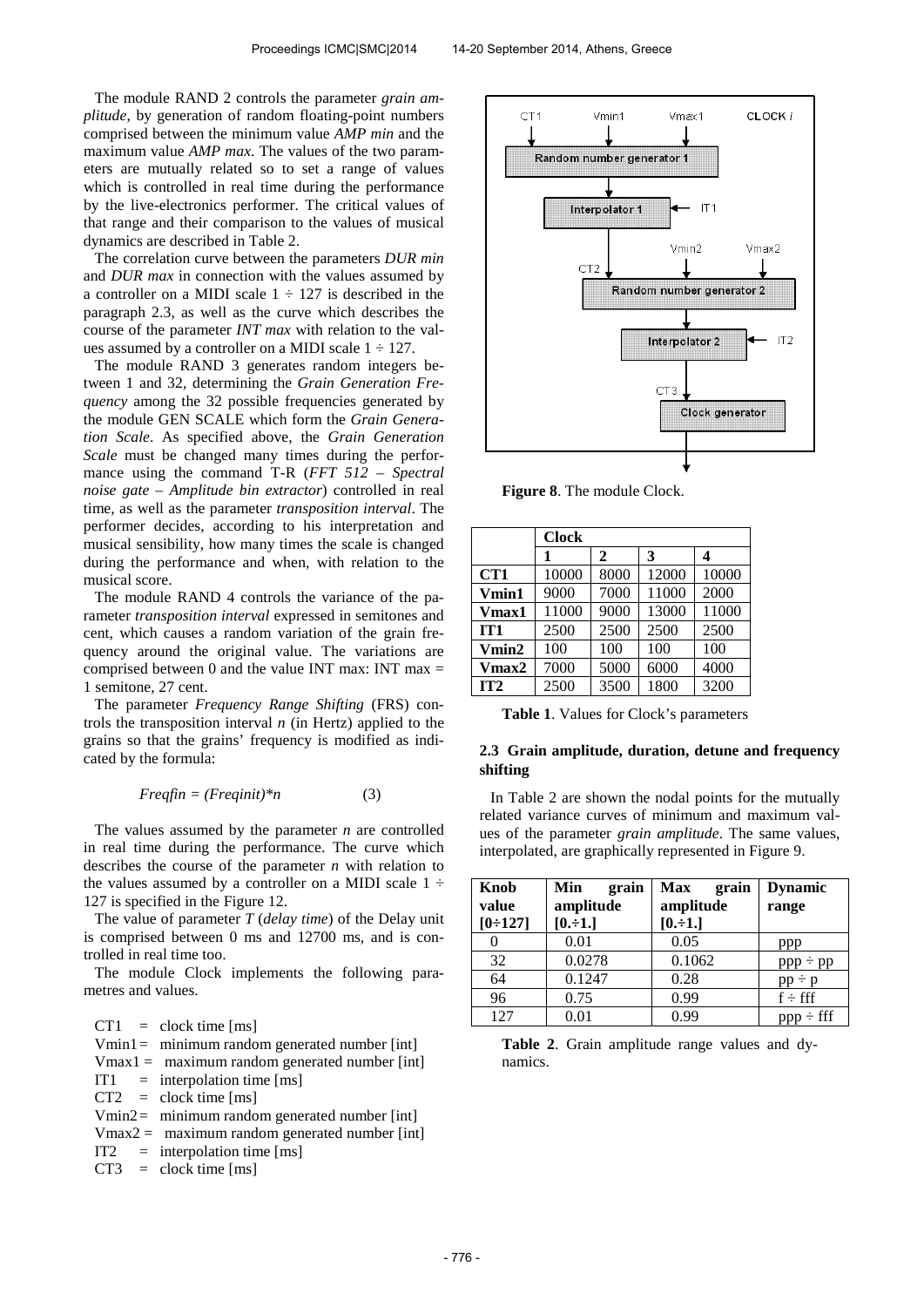The module RAND 2 controls the parameter *grain amplitude*, by generation of random floating-point numbers comprised between the minimum value *AMP min* and the maximum value *AMP max*. The values of the two parameters are mutually related so to set a range of values which is controlled in real time during the performance by the live-electronics performer. The critical values of that range and their comparison to the values of musical dynamics are described in Table 2.

The correlation curve between the parameters *DUR min* and *DUR max* in connection with the values assumed by a controller on a MIDI scale  $1 \div 127$  is described in the paragraph 2.3, as well as the curve which describes the course of the parameter *INT max* with relation to the values assumed by a controller on a MIDI scale  $1 \div 127$ .

The module RAND 3 generates random integers between 1 and 32, determining the *Grain Generation Frequency* among the 32 possible frequencies generated by the module GEN SCALE which form the *Grain Generation Scale*. As specified above, the *Grain Generation Scale* must be changed many times during the performance using the command T-R (*FFT 512 – Spectral noise gate – Amplitude bin extractor*) controlled in real time, as well as the parameter *transposition interval*. The performer decides, according to his interpretation and musical sensibility, how many times the scale is changed during the performance and when, with relation to the musical score.

The module RAND 4 controls the variance of the parameter *transposition interval* expressed in semitones and cent, which causes a random variation of the grain frequency around the original value. The variations are comprised between 0 and the value INT max: INT max  $=$ 1 semitone, 27 cent.

The parameter *Frequency Range Shifting* (FRS) controls the transposition interval *n* (in Hertz) applied to the grains so that the grains' frequency is modified as indicated by the formula:

$$
Freqfin = (Freqinit)^*n \tag{3}
$$

The values assumed by the parameter *n* are controlled in real time during the performance. The curve which describes the course of the parameter *n* with relation to the values assumed by a controller on a MIDI scale  $1 \div$ 127 is specified in the Figure 12.

The value of parameter *T* (*delay time*) of the Delay unit is comprised between 0 ms and 12700 ms, and is controlled in real time too.

The module Clock implements the following parametres and values.

 $CT1 = \text{clock time [ms]}$ Vmin1= minimum random generated number [int]  $V$ max1 = maximum random generated number [int]  $IT1 =$  interpolation time [ms]  $CT2 = clock time [ms]$ Vmin2= minimum random generated number [int]  $V$ max2 = maximum random generated number [int]  $IT2 = interpolation time [ms]$  $CT3 = clock time [ms]$ 



**Figure 8**. The module Clock.

|       | <b>Clock</b> |      |       |       |
|-------|--------------|------|-------|-------|
|       |              | 2    | 3     | 4     |
| CT1   | 10000        | 8000 | 12000 | 10000 |
| Vmin1 | 9000         | 7000 | 11000 | 2000  |
| Vmax1 | 11000        | 9000 | 13000 | 11000 |
| IT1   | 2500         | 2500 | 2500  | 2500  |
| Vmin2 | 100          | 100  | 100   | 100   |
| Vmax2 | 7000         | 5000 | 6000  | 4000  |
| IT2   | 2500         | 3500 | 1800  | 3200  |

**Table 1**. Values for Clock's parameters

## **2.3 Grain amplitude, duration, detune and frequency shifting**

In Table 2 are shown the nodal points for the mutually related variance curves of minimum and maximum values of the parameter *grain amplitude*. The same values, interpolated, are graphically represented in Figure 9.

| Knob      | Min<br>grain | <b>Max</b><br>grain | <b>Dynamic</b> |
|-----------|--------------|---------------------|----------------|
| value     | amplitude    | amplitude           | range          |
| $[0-127]$ | $[0,-1.]$    | $[0.-1.]$           |                |
| 0         | 0.01         | 0.05                | ppp            |
| 32        | 0.0278       | 0.1062              | $ppp \div pp$  |
| 64        | 0.1247       | 0.28                | $pp - p$       |
| 96        | 0.75         | 0.99                | $f \div fff$   |
| 127       | 0.01         | 0.99                | $ppp \div fff$ |

**Table 2**. Grain amplitude range values and dynamics.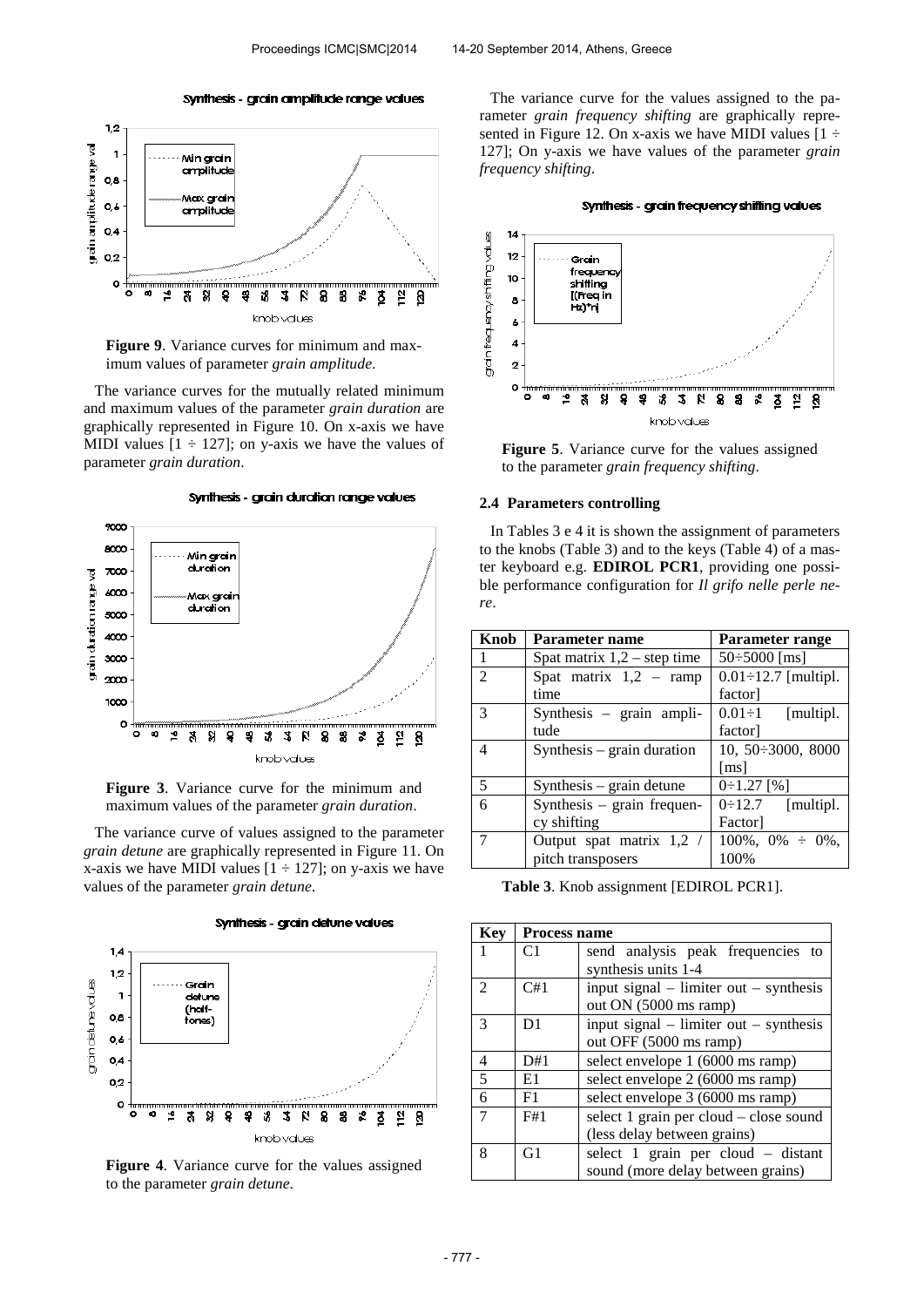#### Synthesis - grain amplitude range values





The variance curves for the mutually related minimum and maximum values of the parameter *grain duration* are graphically represented in Figure 10. On x-axis we have MIDI values  $[1 \div 127]$ ; on y-axis we have the values of parameter *grain duration*.

Synthesis - grain duration range values



**Figure 3**. Variance curve for the minimum and maximum values of the parameter *grain duration*.

The variance curve of values assigned to the parameter *grain detune* are graphically represented in Figure 11. On x-axis we have MIDI values  $[1 \div 127]$ ; on y-axis we have values of the parameter *grain detune*.



**Figure 4**. Variance curve for the values assigned to the parameter *grain detune*.

The variance curve for the values assigned to the parameter *grain frequency shifting* are graphically represented in Figure 12. On x-axis we have MIDI values  $[1 \div \]$ 127]; On y-axis we have values of the parameter *grain frequency shifting*.





**Figure 5**. Variance curve for the values assigned to the parameter *grain frequency shifting*.

#### **2.4 Parameters controlling**

In Tables 3 e 4 it is shown the assignment of parameters to the knobs (Table 3) and to the keys (Table 4) of a master keyboard e.g. **EDIROL PCR1**, providing one possible performance configuration for *Il grifo nelle perle nere*.

| Knob           | Parameter name                | Parameter range             |
|----------------|-------------------------------|-----------------------------|
|                | Spat matrix $1,2$ – step time | $50\div 5000$ [ms]          |
| $\overline{2}$ | Spat matrix $1,2$ – ramp      | $0.01 \div 12.7$ [multipl.  |
|                | time                          | factor]                     |
| $\mathcal{R}$  | Synthesis - grain ampli-      | $0.01 \div 1$<br>[multipl.] |
|                | tude                          | factor]                     |
| $\overline{4}$ | Synthesis $-$ grain duration  | 10, 50 : 3000, 8000         |
|                |                               | $\lceil ms \rceil$          |
| 5              | $Synthesis - grain detune$    | $0:1.27$ [%]                |
| 6              | Synthesis - grain frequen-    | 0:12.7<br>[multipl.]        |
|                | cy shifting                   | Factor                      |
| $\tau$         | Output spat matrix 1,2 /      | $100\%, 0\% \div 0\%,$      |
|                | pitch transposers             | 100%                        |

**Table 3**. Knob assignment [EDIROL PCR1].

| Key                         | <b>Process name</b> |                                            |  |
|-----------------------------|---------------------|--------------------------------------------|--|
| 1                           | C <sub>1</sub>      | send analysis peak frequencies to          |  |
|                             |                     | synthesis units 1-4                        |  |
| $\mathcal{D}_{\mathcal{L}}$ | C#1                 | input signal $-$ limiter out $-$ synthesis |  |
|                             |                     | out ON (5000 ms ramp)                      |  |
| $\mathcal{R}$               | D <sub>1</sub>      | input signal $-$ limiter out $-$ synthesis |  |
|                             |                     | out OFF (5000 ms ramp)                     |  |
| 4                           | D#1                 | select envelope 1 (6000 ms ramp)           |  |
| $\overline{\mathbf{z}}$     | E1                  | select envelope 2 (6000 ms ramp)           |  |
| 6                           | F1                  | select envelope 3 (6000 ms ramp)           |  |
|                             | F#1                 | select 1 grain per cloud – close sound     |  |
|                             |                     | (less delay between grains)                |  |
| 8                           | G <sub>1</sub>      | select 1 grain per cloud - distant         |  |
|                             |                     | sound (more delay between grains)          |  |

Synthesis - grain detune values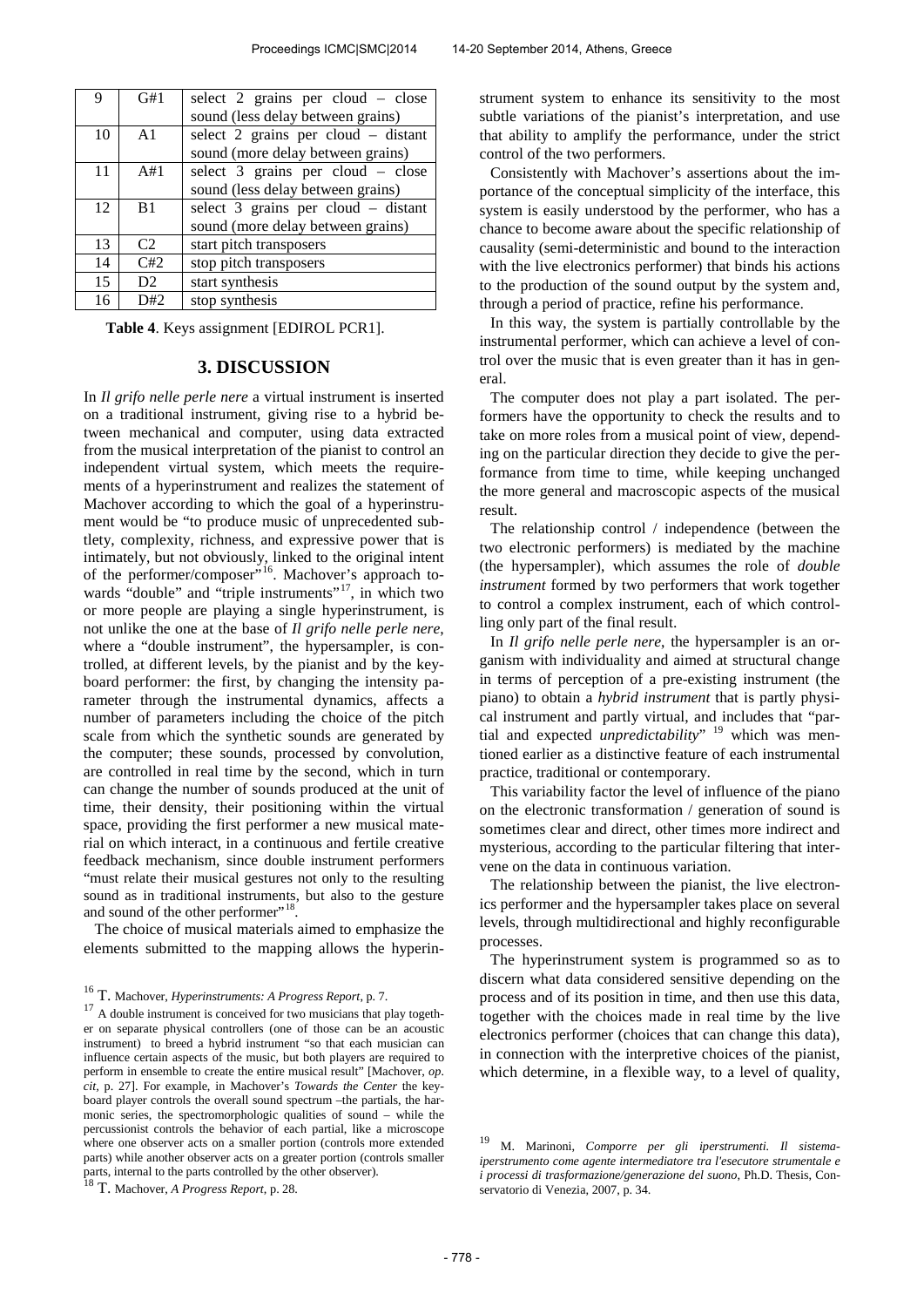| 9  | G#1            | select 2 grains per cloud – close   |
|----|----------------|-------------------------------------|
|    |                | sound (less delay between grains)   |
| 10 | A <sub>1</sub> | select 2 grains per cloud – distant |
|    |                | sound (more delay between grains)   |
| 11 | A#1            | select 3 grains per cloud – close   |
|    |                | sound (less delay between grains)   |
| 12 | B <sub>1</sub> | select 3 grains per cloud - distant |
|    |                | sound (more delay between grains)   |
| 13 | C2             | start pitch transposers             |
| 14 | C#2            | stop pitch transposers              |
| 15 | D <sub>2</sub> | start synthesis                     |
| 16 | D#2            | stop synthesis                      |

**Table 4**. Keys assignment [EDIROL PCR1].

## **3. DISCUSSION**

In *Il grifo nelle perle nere* a virtual instrument is inserted on a traditional instrument, giving rise to a hybrid between mechanical and computer, using data extracted from the musical interpretation of the pianist to control an independent virtual system, which meets the requirements of a hyperinstrument and realizes the statement of Machover according to which the goal of a hyperinstrument would be "to produce music of unprecedented subtlety, complexity, richness, and expressive power that is intimately, but not obviously, linked to the original intent of the performer/composer"<sup>[16](#page-6-0)</sup>. Machover's approach to-wards "double" and "triple instruments"<sup>[17](#page-6-1)</sup>, in which two or more people are playing a single hyperinstrument, is not unlike the one at the base of *Il grifo nelle perle nere*, where a "double instrument", the hypersampler, is controlled, at different levels, by the pianist and by the keyboard performer: the first, by changing the intensity parameter through the instrumental dynamics, affects a number of parameters including the choice of the pitch scale from which the synthetic sounds are generated by the computer; these sounds, processed by convolution, are controlled in real time by the second, which in turn can change the number of sounds produced at the unit of time, their density, their positioning within the virtual space, providing the first performer a new musical material on which interact, in a continuous and fertile creative feedback mechanism, since double instrument performers "must relate their musical gestures not only to the resulting sound as in traditional instruments, but also to the gesture and sound of the other performer"<sup>[18](#page-6-2)</sup>.

The choice of musical materials aimed to emphasize the elements submitted to the mapping allows the hyperin-

<span id="page-6-3"></span><span id="page-6-2"></span>

strument system to enhance its sensitivity to the most subtle variations of the pianist's interpretation, and use that ability to amplify the performance, under the strict control of the two performers.

Consistently with Machover's assertions about the importance of the conceptual simplicity of the interface, this system is easily understood by the performer, who has a chance to become aware about the specific relationship of causality (semi-deterministic and bound to the interaction with the live electronics performer) that binds his actions to the production of the sound output by the system and, through a period of practice, refine his performance.

In this way, the system is partially controllable by the instrumental performer, which can achieve a level of control over the music that is even greater than it has in general.

The computer does not play a part isolated. The performers have the opportunity to check the results and to take on more roles from a musical point of view, depending on the particular direction they decide to give the performance from time to time, while keeping unchanged the more general and macroscopic aspects of the musical result.

The relationship control / independence (between the two electronic performers) is mediated by the machine (the hypersampler), which assumes the role of *double instrument* formed by two performers that work together to control a complex instrument, each of which controlling only part of the final result.

In *Il grifo nelle perle nere*, the hypersampler is an organism with individuality and aimed at structural change in terms of perception of a pre-existing instrument (the piano) to obtain a *hybrid instrument* that is partly physical instrument and partly virtual, and includes that "partial and expected *unpredictability*" <sup>[19](#page-6-3)</sup> which was mentioned earlier as a distinctive feature of each instrumental practice, traditional or contemporary.

This variability factor the level of influence of the piano on the electronic transformation / generation of sound is sometimes clear and direct, other times more indirect and mysterious, according to the particular filtering that intervene on the data in continuous variation.

The relationship between the pianist, the live electronics performer and the hypersampler takes place on several levels, through multidirectional and highly reconfigurable processes.

The hyperinstrument system is programmed so as to discern what data considered sensitive depending on the process and of its position in time, and then use this data, together with the choices made in real time by the live electronics performer (choices that can change this data), in connection with the interpretive choices of the pianist, which determine, in a flexible way, to a level of quality,

<span id="page-6-0"></span><sup>16</sup> T. Machover, *Hyperinstruments: A Progress Report*, p. 7.

<span id="page-6-1"></span> $17$  A double instrument is conceived for two musicians that play together on separate physical controllers (one of those can be an acoustic instrument) to breed a hybrid instrument "so that each musician can influence certain aspects of the music, but both players are required to perform in ensemble to create the entire musical result" [Machover, *op. cit,* p. 27]. For example, in Machover's *Towards the Center* the keyboard player controls the overall sound spectrum –the partials, the harmonic series, the spectromorphologic qualities of sound – while the percussionist controls the behavior of each partial, like a microscope where one observer acts on a smaller portion (controls more extended parts) while another observer acts on a greater portion (controls smaller parts, internal to the parts controlled by the other observer). <sup>18</sup> T. Machover, *A Progress Report*, p. 28.

<sup>19</sup> M. Marinoni, *Comporre per gli iperstrumenti. Il sistemaiperstrumento come agente intermediatore tra l'esecutore strumentale e i processi di trasformazione/generazione del suono*, Ph.D. Thesis, Conservatorio di Venezia, 2007, p. 34.